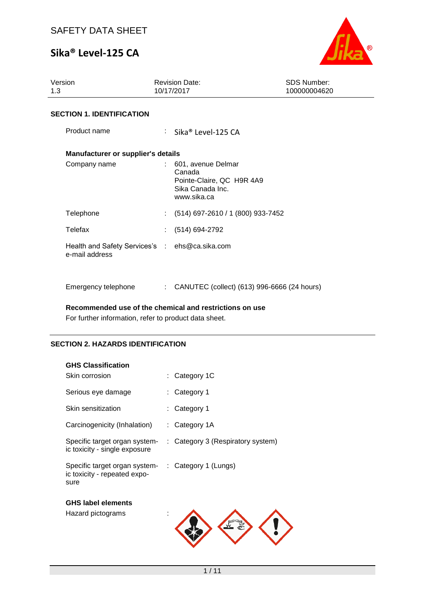

| Version<br>1.3                   |                                                                  |                           | <b>Revision Date:</b><br>10/17/2017                                                          | <b>SDS Number:</b><br>100000004620 |  |  |
|----------------------------------|------------------------------------------------------------------|---------------------------|----------------------------------------------------------------------------------------------|------------------------------------|--|--|
| <b>SECTION 1. IDENTIFICATION</b> |                                                                  |                           |                                                                                              |                                    |  |  |
|                                  | Product name                                                     |                           | : Sika® Level-125 CA                                                                         |                                    |  |  |
|                                  | Manufacturer or supplier's details                               |                           |                                                                                              |                                    |  |  |
|                                  | Company name                                                     |                           | 601, avenue Delmar<br>Canada<br>Pointe-Claire, QC H9R 4A9<br>Sika Canada Inc.<br>www.sika.ca |                                    |  |  |
|                                  | Telephone                                                        | t.                        | (514) 697-2610 / 1 (800) 933-7452                                                            |                                    |  |  |
|                                  | Telefax                                                          |                           | (514) 694-2792                                                                               |                                    |  |  |
|                                  | Health and Safety Services's : ehs@ca.sika.com<br>e-mail address |                           |                                                                                              |                                    |  |  |
|                                  | Emergency telephone                                              | $\mathbb{R}^{\mathbb{Z}}$ | CANUTEC (collect) (613) 996-6666 (24 hours)                                                  |                                    |  |  |

**Recommended use of the chemical and restrictions on use**

For further information, refer to product data sheet.

## **SECTION 2. HAZARDS IDENTIFICATION**

| <b>GHS Classification</b>                                             |                                   |
|-----------------------------------------------------------------------|-----------------------------------|
| Skin corrosion                                                        | : Category 1C                     |
| Serious eye damage                                                    | Category 1                        |
| Skin sensitization                                                    | Category 1                        |
| Carcinogenicity (Inhalation)                                          | : Category 1A                     |
| Specific target organ system-<br>ic toxicity - single exposure        | : Category 3 (Respiratory system) |
| Specific target organ system-<br>ic toxicity - repeated expo-<br>sure | : Category 1 (Lungs)              |
| <b>GHS label elements</b>                                             |                                   |
| Hazard pictograms                                                     |                                   |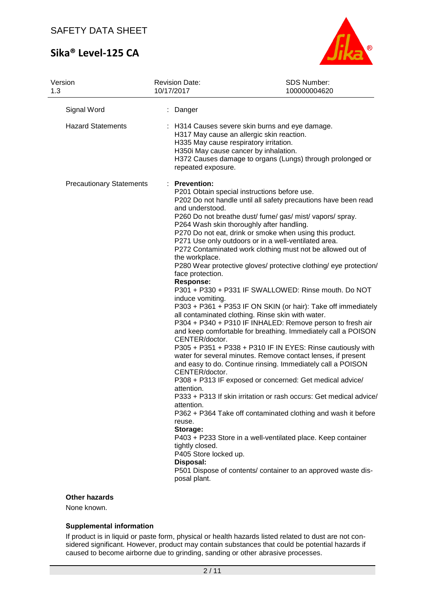

| Version<br>1.3                  | <b>Revision Date:</b><br>10/17/2017                                                                                                                                                                                                                                           | SDS Number:<br>100000004620                                                                                                                                                                                                                                                                                                                                                                                                                                                                                                                                                                                                                                                                                                                                                                                                                                                                                                                                                                                                                                                                                                                                                                                                                                                                                                   |
|---------------------------------|-------------------------------------------------------------------------------------------------------------------------------------------------------------------------------------------------------------------------------------------------------------------------------|-------------------------------------------------------------------------------------------------------------------------------------------------------------------------------------------------------------------------------------------------------------------------------------------------------------------------------------------------------------------------------------------------------------------------------------------------------------------------------------------------------------------------------------------------------------------------------------------------------------------------------------------------------------------------------------------------------------------------------------------------------------------------------------------------------------------------------------------------------------------------------------------------------------------------------------------------------------------------------------------------------------------------------------------------------------------------------------------------------------------------------------------------------------------------------------------------------------------------------------------------------------------------------------------------------------------------------|
| Signal Word                     | Danger                                                                                                                                                                                                                                                                        |                                                                                                                                                                                                                                                                                                                                                                                                                                                                                                                                                                                                                                                                                                                                                                                                                                                                                                                                                                                                                                                                                                                                                                                                                                                                                                                               |
| <b>Hazard Statements</b>        | repeated exposure.                                                                                                                                                                                                                                                            | : H314 Causes severe skin burns and eye damage.<br>H317 May cause an allergic skin reaction.<br>H335 May cause respiratory irritation.<br>H350i May cause cancer by inhalation.<br>H372 Causes damage to organs (Lungs) through prolonged or                                                                                                                                                                                                                                                                                                                                                                                                                                                                                                                                                                                                                                                                                                                                                                                                                                                                                                                                                                                                                                                                                  |
| <b>Precautionary Statements</b> | : Prevention:<br>and understood.<br>the workplace.<br>face protection.<br><b>Response:</b><br>induce vomiting.<br>CENTER/doctor.<br>CENTER/doctor.<br>attention.<br>attention.<br>reuse.<br>Storage:<br>tightly closed.<br>P405 Store locked up.<br>Disposal:<br>posal plant. | P201 Obtain special instructions before use.<br>P202 Do not handle until all safety precautions have been read<br>P260 Do not breathe dust/ fume/ gas/ mist/ vapors/ spray.<br>P264 Wash skin thoroughly after handling.<br>P270 Do not eat, drink or smoke when using this product.<br>P271 Use only outdoors or in a well-ventilated area.<br>P272 Contaminated work clothing must not be allowed out of<br>P280 Wear protective gloves/ protective clothing/ eye protection/<br>P301 + P330 + P331 IF SWALLOWED: Rinse mouth. Do NOT<br>P303 + P361 + P353 IF ON SKIN (or hair): Take off immediately<br>all contaminated clothing. Rinse skin with water.<br>P304 + P340 + P310 IF INHALED: Remove person to fresh air<br>and keep comfortable for breathing. Immediately call a POISON<br>P305 + P351 + P338 + P310 IF IN EYES: Rinse cautiously with<br>water for several minutes. Remove contact lenses, if present<br>and easy to do. Continue rinsing. Immediately call a POISON<br>P308 + P313 IF exposed or concerned: Get medical advice/<br>P333 + P313 If skin irritation or rash occurs: Get medical advice/<br>P362 + P364 Take off contaminated clothing and wash it before<br>P403 + P233 Store in a well-ventilated place. Keep container<br>P501 Dispose of contents/ container to an approved waste dis- |
|                                 |                                                                                                                                                                                                                                                                               |                                                                                                                                                                                                                                                                                                                                                                                                                                                                                                                                                                                                                                                                                                                                                                                                                                                                                                                                                                                                                                                                                                                                                                                                                                                                                                                               |

## **Other hazards**

None known.

## **Supplemental information**

If product is in liquid or paste form, physical or health hazards listed related to dust are not considered significant. However, product may contain substances that could be potential hazards if caused to become airborne due to grinding, sanding or other abrasive processes.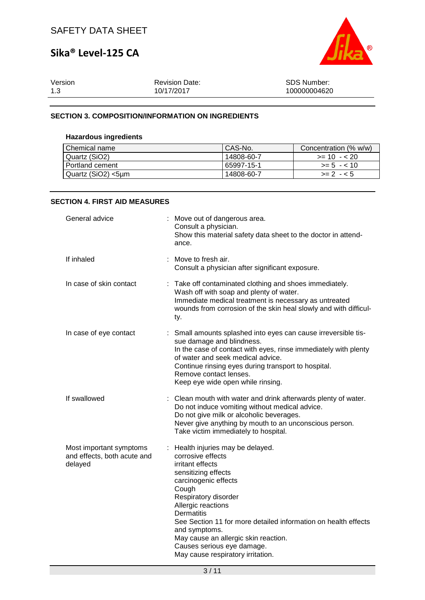

| Version | <b>Revision Date:</b> | <b>SDS Number:</b> |
|---------|-----------------------|--------------------|
| 1.3     | 10/17/2017            | 100000004620       |

### **SECTION 3. COMPOSITION/INFORMATION ON INGREDIENTS**

### **Hazardous ingredients**

| Chemical name      | l CAS-No.  | Concentration (% w/w) |  |
|--------------------|------------|-----------------------|--|
| Quartz (SiO2)      | 14808-60-7 | $>= 10 - 20$          |  |
| Portland cement    | 65997-15-1 | $>= 5 - 10$           |  |
| Quartz (SiO2) <5µm | 14808-60-7 | $>= 2 - 5$            |  |

#### **SECTION 4. FIRST AID MEASURES**

| General advice                                                    |    | Move out of dangerous area.<br>Consult a physician.<br>Show this material safety data sheet to the doctor in attend-<br>ance.                                                                                                                                                                                                                                                                |
|-------------------------------------------------------------------|----|----------------------------------------------------------------------------------------------------------------------------------------------------------------------------------------------------------------------------------------------------------------------------------------------------------------------------------------------------------------------------------------------|
| If inhaled                                                        |    | : Move to fresh air.<br>Consult a physician after significant exposure.                                                                                                                                                                                                                                                                                                                      |
| In case of skin contact                                           |    | : Take off contaminated clothing and shoes immediately.<br>Wash off with soap and plenty of water.<br>Immediate medical treatment is necessary as untreated<br>wounds from corrosion of the skin heal slowly and with difficul-<br>ty.                                                                                                                                                       |
| In case of eye contact                                            | ÷. | Small amounts splashed into eyes can cause irreversible tis-<br>sue damage and blindness.<br>In the case of contact with eyes, rinse immediately with plenty<br>of water and seek medical advice.<br>Continue rinsing eyes during transport to hospital.<br>Remove contact lenses.<br>Keep eye wide open while rinsing.                                                                      |
| If swallowed                                                      |    | : Clean mouth with water and drink afterwards plenty of water.<br>Do not induce vomiting without medical advice.<br>Do not give milk or alcoholic beverages.<br>Never give anything by mouth to an unconscious person.<br>Take victim immediately to hospital.                                                                                                                               |
| Most important symptoms<br>and effects, both acute and<br>delayed |    | : Health injuries may be delayed.<br>corrosive effects<br>irritant effects<br>sensitizing effects<br>carcinogenic effects<br>Cough<br>Respiratory disorder<br>Allergic reactions<br>Dermatitis<br>See Section 11 for more detailed information on health effects<br>and symptoms.<br>May cause an allergic skin reaction.<br>Causes serious eye damage.<br>May cause respiratory irritation. |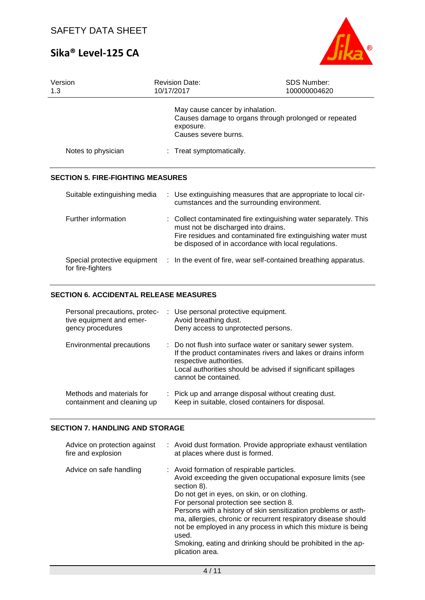

| Version<br>1.3                                    | <b>Revision Date:</b><br>10/17/2017 | <b>SDS Number:</b><br>100000004620                                                                                                                                                                                              |
|---------------------------------------------------|-------------------------------------|---------------------------------------------------------------------------------------------------------------------------------------------------------------------------------------------------------------------------------|
|                                                   | exposure.                           | May cause cancer by inhalation.<br>Causes damage to organs through prolonged or repeated<br>Causes severe burns.                                                                                                                |
| Notes to physician                                |                                     | : Treat symptomatically.                                                                                                                                                                                                        |
| <b>SECTION 5. FIRE-FIGHTING MEASURES</b>          |                                     |                                                                                                                                                                                                                                 |
| Suitable extinguishing media                      |                                     | : Use extinguishing measures that are appropriate to local cir-<br>cumstances and the surrounding environment.                                                                                                                  |
| Further information                               |                                     | : Collect contaminated fire extinguishing water separately. This<br>must not be discharged into drains.<br>Fire residues and contaminated fire extinguishing water must<br>be disposed of in accordance with local regulations. |
| Special protective equipment<br>for fire-fighters |                                     | : In the event of fire, wear self-contained breathing apparatus.                                                                                                                                                                |

## **SECTION 6. ACCIDENTAL RELEASE MEASURES**

| Personal precautions, protec-<br>tive equipment and emer-<br>gency procedures | : Use personal protective equipment.<br>Avoid breathing dust.<br>Deny access to unprotected persons.                                                                                                                                            |
|-------------------------------------------------------------------------------|-------------------------------------------------------------------------------------------------------------------------------------------------------------------------------------------------------------------------------------------------|
| Environmental precautions                                                     | : Do not flush into surface water or sanitary sewer system.<br>If the product contaminates rivers and lakes or drains inform<br>respective authorities.<br>Local authorities should be advised if significant spillages<br>cannot be contained. |
| Methods and materials for<br>containment and cleaning up                      | : Pick up and arrange disposal without creating dust.<br>Keep in suitable, closed containers for disposal.                                                                                                                                      |

## **SECTION 7. HANDLING AND STORAGE**

| Advice on protection against<br>fire and explosion | : Avoid dust formation. Provide appropriate exhaust ventilation<br>at places where dust is formed.                                                                                                                                                                                                                                                                                                                                                                                                                  |
|----------------------------------------------------|---------------------------------------------------------------------------------------------------------------------------------------------------------------------------------------------------------------------------------------------------------------------------------------------------------------------------------------------------------------------------------------------------------------------------------------------------------------------------------------------------------------------|
| Advice on safe handling                            | : Avoid formation of respirable particles.<br>Avoid exceeding the given occupational exposure limits (see<br>section 8).<br>Do not get in eyes, on skin, or on clothing.<br>For personal protection see section 8.<br>Persons with a history of skin sensitization problems or asth-<br>ma, allergies, chronic or recurrent respiratory disease should<br>not be employed in any process in which this mixture is being<br>used.<br>Smoking, eating and drinking should be prohibited in the ap-<br>plication area. |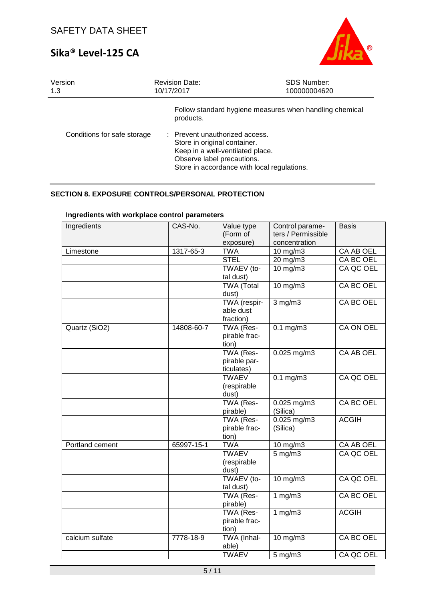

| Version                     | <b>Revision Date:</b>                                                                                                                                                                                                                                   | <b>SDS Number:</b> |
|-----------------------------|---------------------------------------------------------------------------------------------------------------------------------------------------------------------------------------------------------------------------------------------------------|--------------------|
| 1.3                         | 10/17/2017                                                                                                                                                                                                                                              | 100000004620       |
| Conditions for safe storage | Follow standard hygiene measures when handling chemical<br>products.<br>: Prevent unauthorized access.<br>Store in original container.<br>Keep in a well-ventilated place.<br>Observe label precautions.<br>Store in accordance with local regulations. |                    |

## **SECTION 8. EXPOSURE CONTROLS/PERSONAL PROTECTION**

| Ingredients     | CAS-No.    | Value type        | Control parame-    | <b>Basis</b>     |
|-----------------|------------|-------------------|--------------------|------------------|
|                 |            | (Form of          | ters / Permissible |                  |
|                 |            | exposure)         | concentration      |                  |
| Limestone       | 1317-65-3  | <b>TWA</b>        | 10 mg/m3           | <b>CA AB OEL</b> |
|                 |            | <b>STEL</b>       | 20 mg/m3           | CA BC OEL        |
|                 |            | TWAEV (to-        | 10 mg/m3           | CA QC OEL        |
|                 |            | tal dust)         |                    |                  |
|                 |            | <b>TWA (Total</b> | $10$ mg/m $3$      | CA BC OEL        |
|                 |            | dust)             |                    |                  |
|                 |            | TWA (respir-      | $3$ mg/m $3$       | CA BC OEL        |
|                 |            | able dust         |                    |                  |
|                 |            | fraction)         |                    |                  |
| Quartz (SiO2)   | 14808-60-7 | TWA (Res-         | $0.1$ mg/m $3$     | <b>CA ON OEL</b> |
|                 |            | pirable frac-     |                    |                  |
|                 |            | tion)             |                    |                  |
|                 |            | TWA (Res-         | $0.025$ mg/m3      | CA AB OEL        |
|                 |            | pirable par-      |                    |                  |
|                 |            | ticulates)        |                    |                  |
|                 |            | <b>TWAEV</b>      | $0.1$ mg/m $3$     | CA QC OEL        |
|                 |            | (respirable       |                    |                  |
|                 |            | dust)             |                    |                  |
|                 |            | TWA (Res-         | $0.025$ mg/m3      | CA BC OEL        |
|                 |            | pirable)          | (Silica)           |                  |
|                 |            | TWA (Res-         | $0.025$ mg/m3      | <b>ACGIH</b>     |
|                 |            | pirable frac-     | (Silica)           |                  |
|                 |            | tion)             |                    |                  |
| Portland cement | 65997-15-1 | <b>TWA</b>        | 10 mg/m3           | <b>CA AB OEL</b> |
|                 |            | <b>TWAEV</b>      | $5$ mg/m $3$       | CA QC OEL        |
|                 |            | (respirable       |                    |                  |
|                 |            | dust)             |                    |                  |
|                 |            | TWAEV (to-        | 10 mg/m3           | CA QC OEL        |
|                 |            | tal dust)         |                    |                  |
|                 |            | TWA (Res-         | $1$ mg/m $3$       | CA BC OEL        |
|                 |            | pirable)          |                    |                  |
|                 |            | TWA (Res-         | 1 $mg/m3$          | <b>ACGIH</b>     |
|                 |            | pirable frac-     |                    |                  |
|                 |            | tion)             |                    |                  |
| calcium sulfate | 7778-18-9  | TWA (Inhal-       | 10 mg/m3           | <b>CA BC OEL</b> |
|                 |            | able)             |                    |                  |
|                 |            | <b>TWAEV</b>      | 5 mg/m3            | CA QC OEL        |

## **Ingredients with workplace control parameters**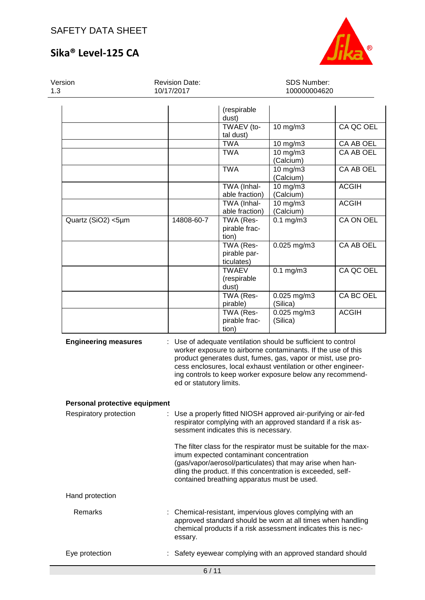

SDS Number:

## **Sika® Level-125 CA**

Version 1.3

Revision Date: 10/17/2017

| 3                             | 10/17/2017                                                                                                                                                                                                                                                                                                                                          |                                         | 100000004620            |                  |
|-------------------------------|-----------------------------------------------------------------------------------------------------------------------------------------------------------------------------------------------------------------------------------------------------------------------------------------------------------------------------------------------------|-----------------------------------------|-------------------------|------------------|
|                               |                                                                                                                                                                                                                                                                                                                                                     | (respirable<br>dust)                    |                         |                  |
|                               |                                                                                                                                                                                                                                                                                                                                                     | TWAEV (to-<br>tal dust)                 | 10 mg/m3                | CA QC OEL        |
|                               |                                                                                                                                                                                                                                                                                                                                                     | <b>TWA</b>                              | 10 mg/m3                | CA AB OEL        |
|                               |                                                                                                                                                                                                                                                                                                                                                     | <b>TWA</b>                              | 10 mg/m3<br>(Calcium)   | CA AB OEL        |
|                               |                                                                                                                                                                                                                                                                                                                                                     | <b>TWA</b>                              | 10 mg/m3<br>(Calcium)   | <b>CA AB OEL</b> |
|                               |                                                                                                                                                                                                                                                                                                                                                     | TWA (Inhal-<br>able fraction)           | 10 mg/m3<br>(Calcium)   | <b>ACGIH</b>     |
|                               |                                                                                                                                                                                                                                                                                                                                                     | TWA (Inhal-<br>able fraction)           | 10 mg/m3<br>(Calcium)   | <b>ACGIH</b>     |
| Quartz (SiO2) <5µm            | 14808-60-7                                                                                                                                                                                                                                                                                                                                          | TWA (Res-<br>pirable frac-<br>tion)     | $0.1$ mg/m $3$          | CA ON OEL        |
|                               |                                                                                                                                                                                                                                                                                                                                                     | TWA (Res-<br>pirable par-<br>ticulates) | $0.025$ mg/m3           | <b>CA AB OEL</b> |
|                               |                                                                                                                                                                                                                                                                                                                                                     | <b>TWAEV</b><br>(respirable<br>dust)    | $0.1$ mg/m $3$          | CA QC OEL        |
|                               |                                                                                                                                                                                                                                                                                                                                                     | TWA (Res-<br>pirable)                   | 0.025 mg/m3<br>(Silica) | CA BC OEL        |
|                               |                                                                                                                                                                                                                                                                                                                                                     | TWA (Res-<br>pirable frac-<br>tion)     | 0.025 mg/m3<br>(Silica) | <b>ACGIH</b>     |
| <b>Engineering measures</b>   | Use of adequate ventilation should be sufficient to control<br>worker exposure to airborne contaminants. If the use of this<br>product generates dust, fumes, gas, vapor or mist, use pro-<br>cess enclosures, local exhaust ventilation or other engineer-<br>ing controls to keep worker exposure below any recommend-<br>ed or statutory limits. |                                         |                         |                  |
| Personal protective equipment |                                                                                                                                                                                                                                                                                                                                                     |                                         |                         |                  |
| Respiratory protection        | : Use a properly fitted NIOSH approved air-purifying or air-fed<br>respirator complying with an approved standard if a risk as-<br>sessment indicates this is necessary.                                                                                                                                                                            |                                         |                         |                  |
|                               | The filter class for the respirator must be suitable for the max-<br>imum expected contaminant concentration<br>(gas/vapor/aerosol/particulates) that may arise when han-                                                                                                                                                                           |                                         |                         |                  |

Hand protection

Remarks : Chemical-resistant, impervious gloves complying with an approved standard should be worn at all times when handling chemical products if a risk assessment indicates this is necessary.

dling the product. If this concentration is exceeded, self-

contained breathing apparatus must be used.

Eye protection : Safety eyewear complying with an approved standard should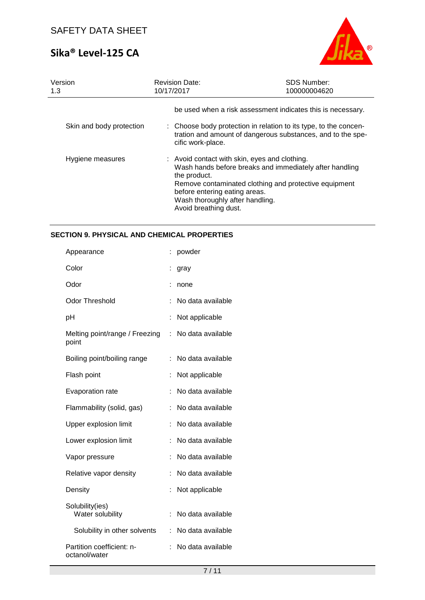

| Version<br>1.3           | <b>Revision Date:</b><br>10/17/2017                                                                                                                        | <b>SDS Number:</b><br>100000004620                                                                                              |  |
|--------------------------|------------------------------------------------------------------------------------------------------------------------------------------------------------|---------------------------------------------------------------------------------------------------------------------------------|--|
|                          |                                                                                                                                                            | be used when a risk assessment indicates this is necessary.                                                                     |  |
| Skin and body protection | cific work-place.                                                                                                                                          | : Choose body protection in relation to its type, to the concen-<br>tration and amount of dangerous substances, and to the spe- |  |
| Hygiene measures         | : Avoid contact with skin, eyes and clothing.<br>the product.<br>before entering eating areas.<br>Wash thoroughly after handling.<br>Avoid breathing dust. | Wash hands before breaks and immediately after handling<br>Remove contaminated clothing and protective equipment                |  |

## **SECTION 9. PHYSICAL AND CHEMICAL PROPERTIES**

| Appearance                                 |                   | powder            |
|--------------------------------------------|-------------------|-------------------|
| Color                                      |                   | gray              |
| Odor                                       |                   | none              |
| <b>Odor Threshold</b>                      |                   | No data available |
| рH                                         |                   | Not applicable    |
| Melting point/range / Freezing<br>point    | No data available |                   |
| Boiling point/boiling range                |                   | No data available |
| Flash point                                |                   | Not applicable    |
| Evaporation rate                           |                   | No data available |
| Flammability (solid, gas)                  | t.                | No data available |
| Upper explosion limit                      | t.                | No data available |
| Lower explosion limit                      |                   | No data available |
| Vapor pressure                             |                   | No data available |
| Relative vapor density                     |                   | No data available |
| Density                                    |                   | Not applicable    |
| Solubility(ies)<br>Water solubility        |                   | No data available |
| Solubility in other solvents               | t.                | No data available |
| Partition coefficient: n-<br>octanol/water |                   | No data available |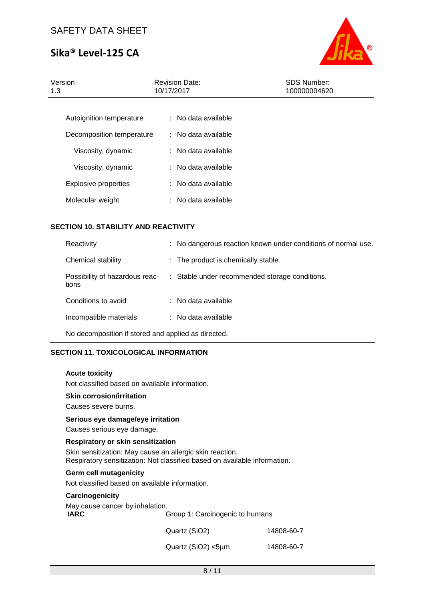

| Version<br>1.3              | <b>Revision Date:</b><br>10/17/2017 | <b>SDS Number:</b><br>100000004620 |
|-----------------------------|-------------------------------------|------------------------------------|
| Autoignition temperature    | $:$ No data available               |                                    |
| Decomposition temperature   | : No data available                 |                                    |
| Viscosity, dynamic          | $:$ No data available               |                                    |
| Viscosity, dynamic          | $:$ No data available               |                                    |
| <b>Explosive properties</b> | $:$ No data available               |                                    |
| Molecular weight            | $:$ No data available               |                                    |
|                             |                                     |                                    |

## **SECTION 10. STABILITY AND REACTIVITY**

| Reactivity                                          |  | : No dangerous reaction known under conditions of normal use. |  |
|-----------------------------------------------------|--|---------------------------------------------------------------|--|
| Chemical stability                                  |  | : The product is chemically stable.                           |  |
| Possibility of hazardous reac-<br>tions             |  | : Stable under recommended storage conditions.                |  |
| Conditions to avoid                                 |  | ∴ No data available.                                          |  |
| Incompatible materials                              |  | $\therefore$ No data available                                |  |
| No decomposition if stored and applied as directed. |  |                                                               |  |

## **SECTION 11. TOXICOLOGICAL INFORMATION**

#### **Acute toxicity**

Not classified based on available information.

### **Skin corrosion/irritation**

Causes severe burns.

#### **Serious eye damage/eye irritation**

Causes serious eye damage.

#### **Respiratory or skin sensitization** Skin sensitization: May cause an allergic skin reaction. Respiratory sensitization: Not classified based on available information.

#### **Germ cell mutagenicity**

Not classified based on available information.

#### **Carcinogenicity**

| May cause cancer by inhalation. |            |  |
|---------------------------------|------------|--|
| Group 1: Carcinogenic to humans |            |  |
| Quartz (SiO2)                   | 14808-60-7 |  |
|                                 |            |  |

| Quartz (SiO2) <5µm | 14808-60-7 |  |
|--------------------|------------|--|
|                    |            |  |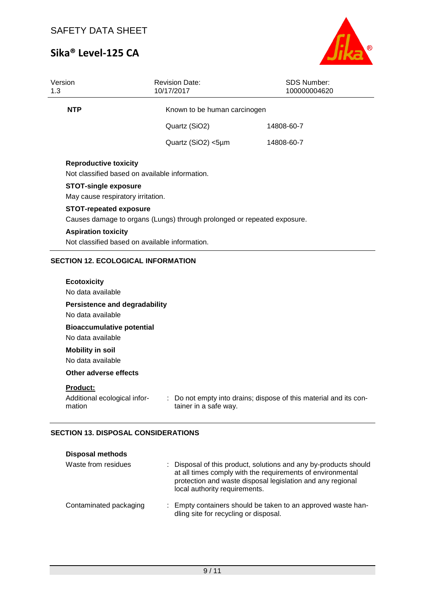

| Version<br>1.3                                        | <b>Revision Date:</b><br>10/17/2017                                                                      | <b>SDS Number:</b><br>100000004620 |  |  |  |  |
|-------------------------------------------------------|----------------------------------------------------------------------------------------------------------|------------------------------------|--|--|--|--|
| <b>NTP</b>                                            | Known to be human carcinogen                                                                             |                                    |  |  |  |  |
|                                                       | Quartz (SiO2)                                                                                            | 14808-60-7                         |  |  |  |  |
|                                                       | Quartz (SiO2) <5µm                                                                                       | 14808-60-7                         |  |  |  |  |
| <b>Reproductive toxicity</b>                          | Not classified based on available information.                                                           |                                    |  |  |  |  |
|                                                       | <b>STOT-single exposure</b><br>May cause respiratory irritation.                                         |                                    |  |  |  |  |
|                                                       | <b>STOT-repeated exposure</b><br>Causes damage to organs (Lungs) through prolonged or repeated exposure. |                                    |  |  |  |  |
|                                                       | <b>Aspiration toxicity</b><br>Not classified based on available information.                             |                                    |  |  |  |  |
|                                                       | <b>SECTION 12. ECOLOGICAL INFORMATION</b>                                                                |                                    |  |  |  |  |
| <b>Ecotoxicity</b><br>No data available               |                                                                                                          |                                    |  |  |  |  |
|                                                       | <b>Persistence and degradability</b><br>No data available                                                |                                    |  |  |  |  |
| <b>Bioaccumulative potential</b><br>No data available |                                                                                                          |                                    |  |  |  |  |
| <b>Mobility in soil</b><br>No data available          |                                                                                                          |                                    |  |  |  |  |

#### **Other adverse effects**

## **Product:**

| Additional ecological infor- | : Do not empty into drains; dispose of this material and its con- |
|------------------------------|-------------------------------------------------------------------|
| mation                       | tainer in a safe way.                                             |

## **SECTION 13. DISPOSAL CONSIDERATIONS**

| <b>Disposal methods</b> |                                                                                                                                                                                                                               |
|-------------------------|-------------------------------------------------------------------------------------------------------------------------------------------------------------------------------------------------------------------------------|
| Waste from residues     | : Disposal of this product, solutions and any by-products should<br>at all times comply with the requirements of environmental<br>protection and waste disposal legislation and any regional<br>local authority requirements. |
| Contaminated packaging  | : Empty containers should be taken to an approved waste han-<br>dling site for recycling or disposal.                                                                                                                         |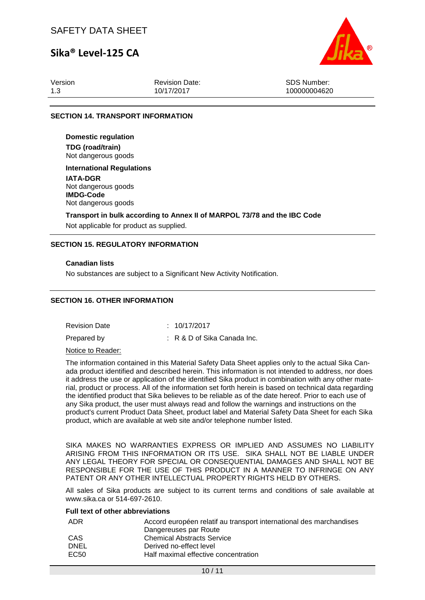## SAFETY DATA SHEET

## **Sika® Level-125 CA**



Version 1.3

Revision Date: 10/17/2017

SDS Number: 100000004620

## **SECTION 14. TRANSPORT INFORMATION**

**Domestic regulation TDG (road/train)** Not dangerous goods

**International Regulations**

**IATA-DGR** Not dangerous goods **IMDG-Code** Not dangerous goods

**Transport in bulk according to Annex II of MARPOL 73/78 and the IBC Code**

Not applicable for product as supplied.

#### **SECTION 15. REGULATORY INFORMATION**

#### **Canadian lists**

No substances are subject to a Significant New Activity Notification.

#### **SECTION 16. OTHER INFORMATION**

Revision Date : 10/17/2017 Prepared by : R & D of Sika Canada Inc.

Notice to Reader:

The information contained in this Material Safety Data Sheet applies only to the actual Sika Canada product identified and described herein. This information is not intended to address, nor does it address the use or application of the identified Sika product in combination with any other material, product or process. All of the information set forth herein is based on technical data regarding the identified product that Sika believes to be reliable as of the date hereof. Prior to each use of any Sika product, the user must always read and follow the warnings and instructions on the product's current Product Data Sheet, product label and Material Safety Data Sheet for each Sika product, which are available at web site and/or telephone number listed.

SIKA MAKES NO WARRANTIES EXPRESS OR IMPLIED AND ASSUMES NO LIABILITY ARISING FROM THIS INFORMATION OR ITS USE. SIKA SHALL NOT BE LIABLE UNDER ANY LEGAL THEORY FOR SPECIAL OR CONSEQUENTIAL DAMAGES AND SHALL NOT BE RESPONSIBLE FOR THE USE OF THIS PRODUCT IN A MANNER TO INFRINGE ON ANY PATENT OR ANY OTHER INTELLECTUAL PROPERTY RIGHTS HELD BY OTHERS.

All sales of Sika products are subject to its current terms and conditions of sale available at www.sika.ca or 514-697-2610.

#### **Full text of other abbreviations**

| ADR         | Accord européen relatif au transport international des marchandises |
|-------------|---------------------------------------------------------------------|
|             | Dangereuses par Route                                               |
| CAS         | <b>Chemical Abstracts Service</b>                                   |
| <b>DNEL</b> | Derived no-effect level                                             |
| EC50        | Half maximal effective concentration                                |